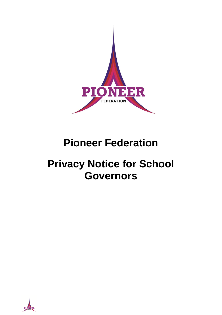

# **Pioneer Federation**

# **Privacy Notice for School Governors**

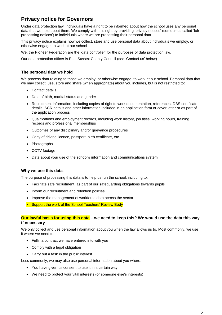# **Privacy notice for Governors**

Under data protection law, individuals have a right to be informed about how the school uses any personal data that we hold about them. We comply with this right by providing 'privacy notices' (sometimes called 'fair processing notices') to individuals where we are processing their personal data.

This privacy notice explains how we collect, store and use personal data about individuals we employ, or otherwise engage, to work at our school.

We, the Pioneer Federation are the 'data controller' for the purposes of data protection law.

Our data protection officer is East Sussex County Council (see 'Contact us' below).

#### **The personal data we hold**

We process data relating to those we employ, or otherwise engage, to work at our school. Personal data that we may collect, use, store and share (when appropriate) about you includes, but is not restricted to:

- Contact details
- Date of birth, marital status and gender
- Recruitment information, including copies of right to work documentation, references, DBS certificate details, SCR details and other information included in an application form or cover letter or as part of the application process
- Qualifications and employment records, including work history, job titles, working hours, training records and professional memberships
- Outcomes of any disciplinary and/or grievance procedures
- Copy of driving licence, passport, birth certificate, etc
- Photographs
- CCTV footage
- Data about your use of the school's information and communications system

#### **Why we use this data**.

The purpose of processing this data is to help us run the school, including to:

- Facilitate safe recruitment, as part of our safeguarding obligations towards pupils
- Inform our recruitment and retention policies
- Improve the management of workforce data across the sector
- Support the work of the School Teachers' Review Body

## **Our lawful basis for using this data – we need to keep this? We would use the data this way if necessary**

We only collect and use personal information about you when the law allows us to. Most commonly, we use it where we need to:

- Fulfill a contract we have entered into with you
- Comply with a legal obligation
- Carry out a task in the public interest

Less commonly, we may also use personal information about you where:

- You have given us consent to use it in a certain way
- We need to protect your vital interests (or someone else's interests)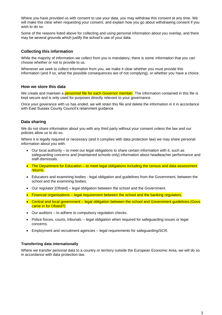Where you have provided us with consent to use your data, you may withdraw this consent at any time. We will make this clear when requesting your consent, and explain how you go about withdrawing consent if you wish to do so.

Some of the reasons listed above for collecting and using personal information about you overlap, and there may be several grounds which justify the school's use of your data.

#### **Collecting this information**

While the majority of information we collect from you is mandatory, there is some information that you can choose whether or not to provide to us.

Whenever we seek to collect information from you, we make it clear whether you must provide this information (and if so, what the possible consequences are of not complying), or whether you have a choice.

#### **How we store this data**

We create and maintain a **personnel file for each Governor member**. The information contained in this file is kept secure and is only used for purposes directly relevant to your governance.

Once your goverance with us has ended, we will retain this file and delete the information in it in accordance with East Sussex County Council's retainment guidance

## **Data sharing**

We do not share information about you with any third party without your consent unless the law and our policies allow us to do so.

Where it is legally required or necessary (and it complies with data protection law) we may share personal information about you with:

- Our local authority to meet our legal obligations to share certain information with it, such as safeguarding concerns and [maintained schools only] information about headteacher performance and staff dismissals.
- The Department for Education to meet legal obligations including the census and data assessment returns.
- Educators and examining bodies legal obligation and guidelines from the Government, between the school and the examining bodies.
- Our regulator [Ofsted] legal obligation between the school and the Government.
- Financial organisations legal requirement between the school and the banking requiators.
- Central and local government legal obligation between the school and Government guidelines.(Govs came in for Ofsted?)
- Our auditors to adhere to compulsory regulation checks.
- Police forces, courts, tribunals -- legal obligation when required for safeguarding issues or legal concerns.
- Employment and recruitment agencies legal requirements for safeguarding/SCR.

#### **Transferring data internationally**

Where we transfer personal data to a country or territory outside the European Economic Area, we will do so in accordance with data protection law.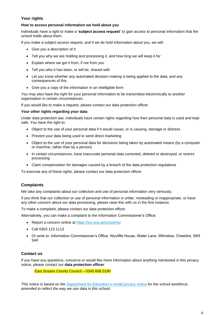# **Your rights**

#### **How to access personal information we hold about you**

Individuals have a right to make a **'subject access request'** to gain access to personal information that the school holds about them.

If you make a subject access request, and if we do hold information about you, we will:

- Give you a description of it
- Tell you why we are holding and processing it, and how long we will keep it for
- Explain where we got it from, if not from you
- Tell you who it has been, or will be, shared with
- Let you know whether any automated decision-making is being applied to the data, and any consequences of this
- Give you a copy of the information in an intelligible form

You may also have the right for your personal information to be transmitted electronically to another organisation in certain circumstances.

If you would like to make a request, please contact our data protection officer.

#### **Your other rights regarding your data**

Under data protection law, individuals have certain rights regarding how their personal data is used and kept safe. You have the right to:

- Object to the use of your personal data if it would cause, or is causing, damage or distress
- Prevent your data being used to send direct marketing
- Object to the use of your personal data for decisions being taken by automated means (by a computer or machine, rather than by a person)
- In certain circumstances, have inaccurate personal data corrected, deleted or destroyed, or restrict processing
- Claim compensation for damages caused by a breach of the data protection regulations

To exercise any of these rights, please contact our data protection officer.

# **Complaints**

We take any complaints about our collection and use of personal information very seriously.

If you think that our collection or use of personal information is unfair, misleading or inappropriate, or have any other concern about our data processing, please raise this with us in the first instance.

To make a complaint, please contact our data protection officer.

Alternatively, you can make a complaint to the Information Commissioner's Office:

- Report a concern online at<https://ico.org.uk/concerns/>
- Call 0303 123 1113
- Or write to: Information Commissioner's Office, Wycliffe House, Water Lane, Wilmslow, Cheshire, SK9 5AF

## **Contact us**

If you have any questions, concerns or would like more information about anything mentioned in this privacy notice, please contact our **data protection officer**:

East Sussex County Council – 0345 608 0190

*This notice is based on the [Department for Education's model privacy notice](https://www.gov.uk/government/publications/data-protection-and-privacy-privacy-notices) for the school workforce, amended to reflect the way we use data in this school.*